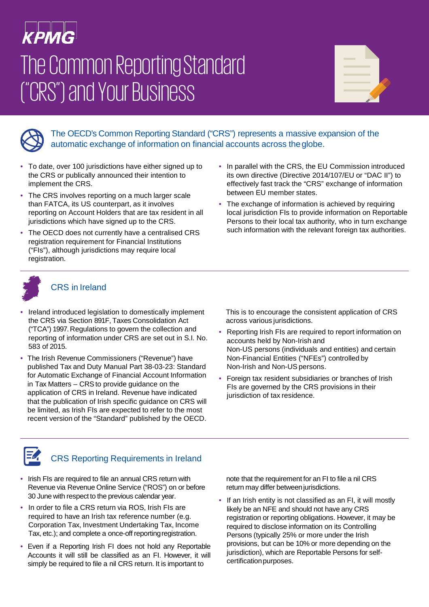# **KPMG**

# The Common ReportingStandard ("CRS") and Your Business

| the control of the control of the<br>the control of the control of the |  |  |
|------------------------------------------------------------------------|--|--|
| <b>Contract Contract Contract</b>                                      |  |  |



The OECD's Common Reporting Standard ("CRS") represents a massive expansion of the automatic exchange of information on financial accounts across theglobe.

- To date, over 100 jurisdictions have either signed up to the CRS or publically announced their intention to implement the CRS.
- The CRS involves reporting on a much larger scale than FATCA, its US counterpart, as it involves reporting on Account Holders that are tax resident in all jurisdictions which have signed up to the CRS.
- The OECD does not currently have a centralised CRS registration requirement for Financial Institutions ("FIs"), although jurisdictions may require local registration.
- In parallel with the CRS, the EU Commission introduced its own directive (Directive 2014/107/EU or "DAC II") to effectively fast track the "CRS" exchange of information between EU member states.
- The exchange of information is achieved by requiring local jurisdiction FIs to provide information on Reportable Persons to their local tax authority, who in turn exchange such information with the relevant foreign tax authorities.



#### CRS in Ireland

- Ireland introduced legislation to domestically implement the CRS via Section 891F, Taxes Consolidation Act ("TCA") 1997. Regulations to govern the collection and reporting of information under CRS are set out in S.I. No. 583 of 2015.
- The Irish Revenue Commissioners ("Revenue") have published Tax and Duty Manual Part 38-03-23: Standard for Automatic Exchange of Financial Account Information in Tax Matters – CRSto provide guidance on the application of CRS in Ireland. Revenue have indicated that the publication of Irish specific guidance on CRS will be limited, as Irish FIs are expected to refer to the most recent version of the "Standard" published by the OECD.

This is to encourage the consistent application of CRS across various jurisdictions.

- Reporting Irish FIs are required to report information on accounts held by Non-Irish and Non-US persons (individuals and entities) and certain Non-Financial Entities ("NFEs") controlled by Non-Irish and Non-US persons.
- Foreign tax resident subsidiaries or branches of Irish FIs are governed by the CRS provisions in their jurisdiction of tax residence.



#### CRS Reporting Requirements in Ireland

- Irish FIs are required to file an annual CRS return with Revenue via Revenue Online Service ("ROS") on or before 30 June with respect to the previous calendar year.
- In order to file a CRS return via ROS, Irish FIs are required to have an Irish tax reference number (e.g. Corporation Tax, Investment Undertaking Tax, Income Tax, etc.); and complete a once-off reportingregistration.
- Even if a Reporting Irish FI does not hold any Reportable Accounts it will still be classified as an FI. However, it will simply be required to file a nil CRS return. It is important to

note that the requirement for an FI to file a nil CRS return may differ between jurisdictions.

• If an Irish entity is not classified as an FI, it will mostly likely be an NFE and should not have any CRS registration or reporting obligations. However, it may be required to disclose information on its Controlling Persons (typically 25% or more under the Irish provisions, but can be 10% or more depending on the jurisdiction), which are Reportable Persons for selfcertification purposes.